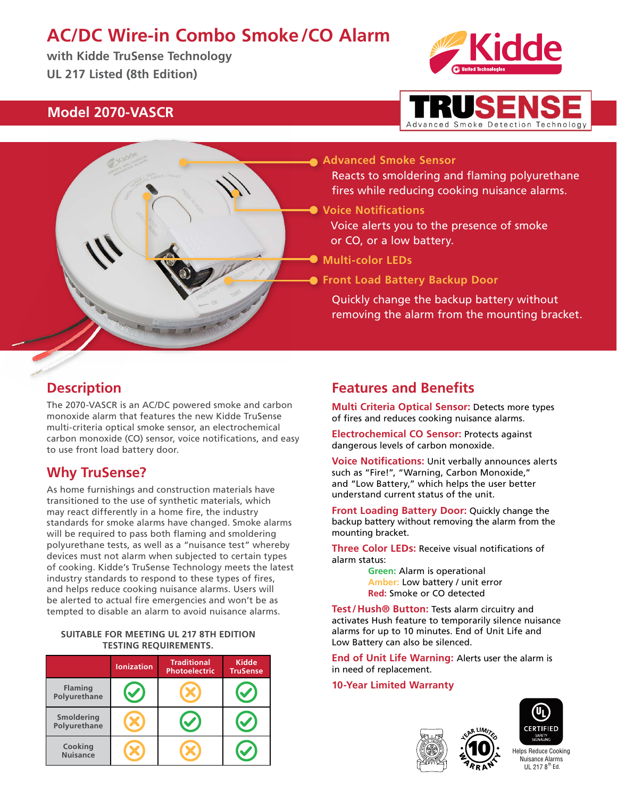# **AC/DC Wire-in Combo Smoke/CO Alarm**

**with Kidde TruSense Technology UL 217 Listed (8th Edition)**



### **Model 2070-VASCR**



**Advanced Smoke Sensor**

Reacts to smoldering and flaming polyurethane fires while reducing cooking nuisance alarms.

**Voice Notifications**

Voice alerts you to the presence of smoke or CO, or a low battery.

**Multi-color LEDs**

**Front Load Battery Backup Door**

Quickly change the backup battery without removing the alarm from the mounting bracket.

### **Description**

The 2070-VASCR is an AC/DC powered smoke and carbon monoxide alarm that features the new Kidde TruSense multi-criteria optical smoke sensor, an electrochemical carbon monoxide (CO) sensor, voice notifications, and easy to use front load battery door.

### **Why TruSense?**

As home furnishings and construction materials have transitioned to the use of synthetic materials, which may react differently in a home fire, the industry standards for smoke alarms have changed. Smoke alarms will be required to pass both flaming and smoldering polyurethane tests, as well as a "nuisance test" whereby devices must not alarm when subjected to certain types of cooking. Kidde's TruSense Technology meets the latest industry standards to respond to these types of fires, and helps reduce cooking nuisance alarms. Users will be alerted to actual fire emergencies and won't be as tempted to disable an alarm to avoid nuisance alarms.

#### **SUITABLE FOR MEETING UL 217 8TH EDITION TESTING REQUIREMENTS.**

|                                | <b>Ionization</b>    | <b>Traditional</b><br><b>Photoelectric</b> | <b>Kidde</b><br><b>TruSense</b> |  |
|--------------------------------|----------------------|--------------------------------------------|---------------------------------|--|
| <b>Flaming</b><br>Polyurethane | $\blacktriangledown$ |                                            |                                 |  |
| Smoldering<br>Polyurethane     |                      |                                            |                                 |  |
| Cooking<br><b>Nuisance</b>     |                      |                                            |                                 |  |

### **Features and Benefits**

**Multi Criteria Optical Sensor:** Detects more types of fires and reduces cooking nuisance alarms.

**Electrochemical CO Sensor:** Protects against dangerous levels of carbon monoxide.

**Voice Notifications:** Unit verbally announces alerts such as "Fire!", "Warning, Carbon Monoxide," and "Low Battery," which helps the user better understand current status of the unit.

**Front Loading Battery Door:** Quickly change the backup battery without removing the alarm from the mounting bracket.

**Three Color LEDs:** Receive visual notifications of alarm status:

> **Green:** Alarm is operational **Amber:** Low battery / unit error **Red:** Smoke or CO detected

**Test/Hush® Button:** Tests alarm circuitry and activates Hush feature to temporarily silence nuisance alarms for up to 10 minutes. End of Unit Life and Low Battery can also be silenced.

**End of Unit Life Warning:** Alerts user the alarm is in need of replacement.

### **10-Year Limited Warranty**



10



 $III$  217  $8<sup>th</sup>$  Ed. Helps Reduce Cooking Nuisance Alarms